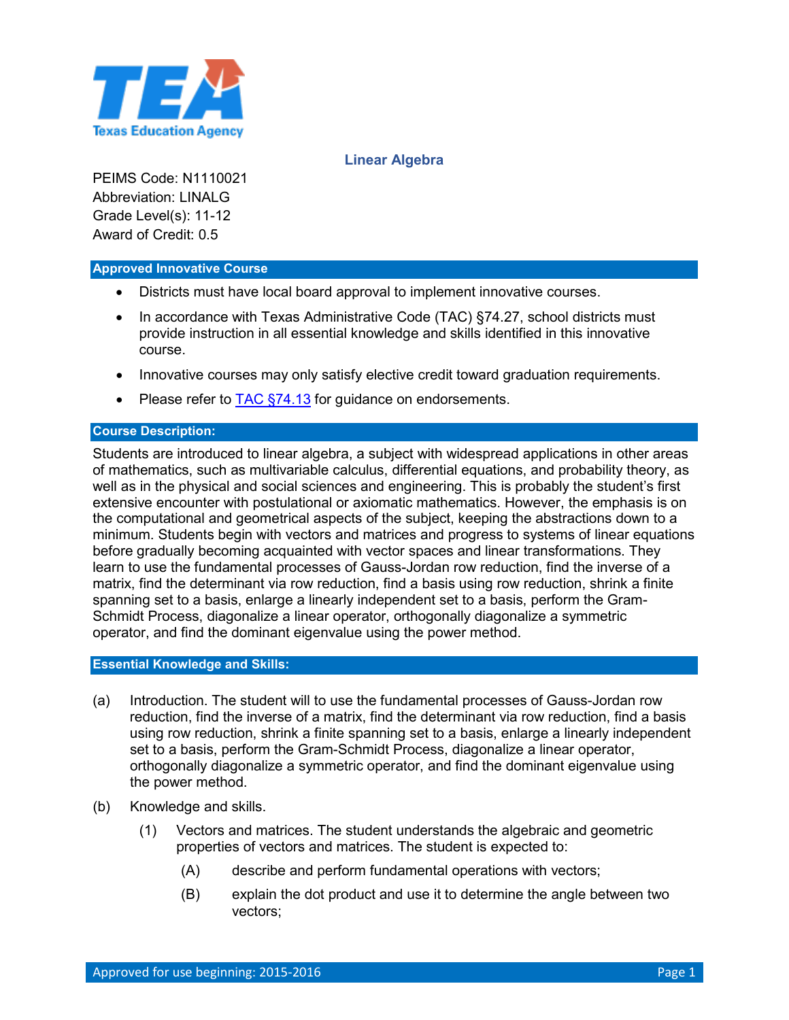

# **Linear Algebra**

PEIMS Code: N1110021 Abbreviation: LINALG Grade Level(s): 11-12 Award of Credit: 0.5

#### **Approved Innovative Course**

- Districts must have local board approval to implement innovative courses.
- In accordance with Texas Administrative Code (TAC) §74.27, school districts must provide instruction in all essential knowledge and skills identified in this innovative course.
- Innovative courses may only satisfy elective credit toward graduation requirements.
- Please refer to TAC [§74.13](http://ritter.tea.state.tx.us/rules/tac/chapter074/ch074b.html#74.13) for guidance on endorsements.

### **Course Description:**

Students are introduced to linear algebra, a subject with widespread applications in other areas of mathematics, such as multivariable calculus, differential equations, and probability theory, as well as in the physical and social sciences and engineering. This is probably the student's first extensive encounter with postulational or axiomatic mathematics. However, the emphasis is on the computational and geometrical aspects of the subject, keeping the abstractions down to a minimum. Students begin with vectors and matrices and progress to systems of linear equations before gradually becoming acquainted with vector spaces and linear transformations. They learn to use the fundamental processes of Gauss-Jordan row reduction, find the inverse of a matrix, find the determinant via row reduction, find a basis using row reduction, shrink a finite spanning set to a basis, enlarge a linearly independent set to a basis, perform the Gram-Schmidt Process, diagonalize a linear operator, orthogonally diagonalize a symmetric operator, and find the dominant eigenvalue using the power method.

#### **Essential Knowledge and Skills:**

- (a) Introduction. The student will to use the fundamental processes of Gauss-Jordan row reduction, find the inverse of a matrix, find the determinant via row reduction, find a basis using row reduction, shrink a finite spanning set to a basis, enlarge a linearly independent set to a basis, perform the Gram-Schmidt Process, diagonalize a linear operator, orthogonally diagonalize a symmetric operator, and find the dominant eigenvalue using the power method.
- (b) Knowledge and skills.
	- (1) Vectors and matrices. The student understands the algebraic and geometric properties of vectors and matrices. The student is expected to:
		- (A) describe and perform fundamental operations with vectors;
		- (B) explain the dot product and use it to determine the angle between two vectors;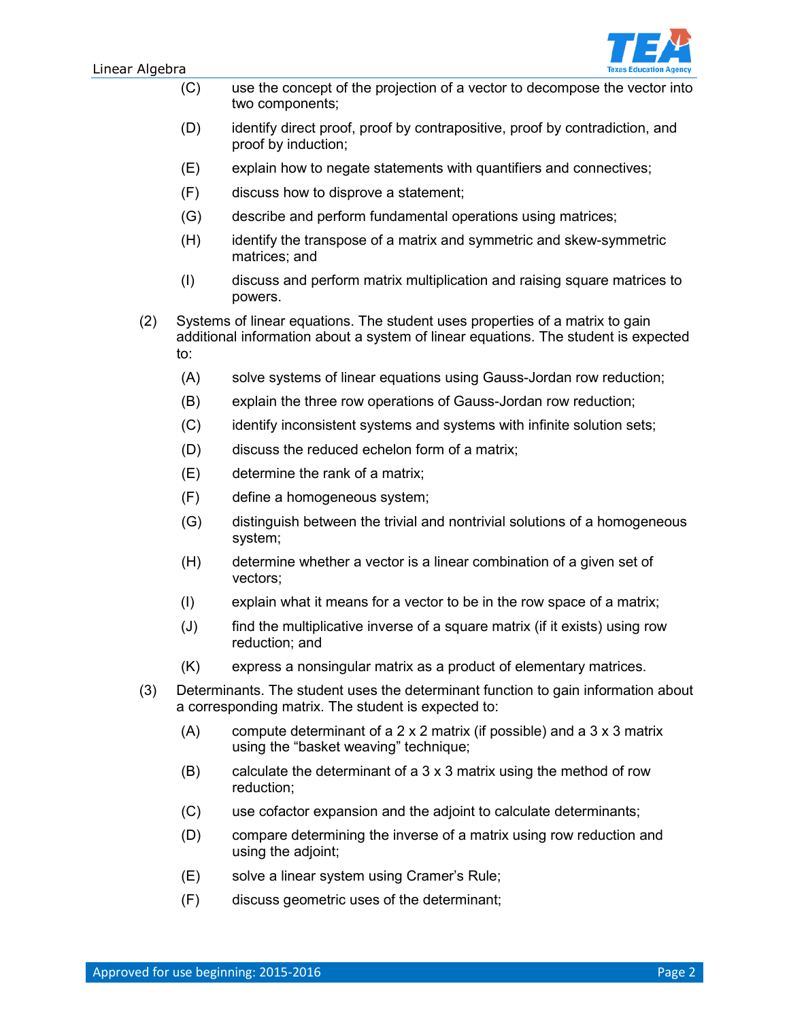

- (C) use the concept of the projection of a vector to decompose the vector into two components;
- (D) identify direct proof, proof by contrapositive, proof by contradiction, and proof by induction;
- (E) explain how to negate statements with quantifiers and connectives;
- (F) discuss how to disprove a statement;
- (G) describe and perform fundamental operations using matrices;
- (H) identify the transpose of a matrix and symmetric and skew-symmetric matrices; and
- (I) discuss and perform matrix multiplication and raising square matrices to powers.
- (2) Systems of linear equations. The student uses properties of a matrix to gain additional information about a system of linear equations. The student is expected to:
	- (A) solve systems of linear equations using Gauss-Jordan row reduction;
	- (B) explain the three row operations of Gauss-Jordan row reduction;
	- (C) identify inconsistent systems and systems with infinite solution sets;
	- (D) discuss the reduced echelon form of a matrix;
	- (E) determine the rank of a matrix;
	- (F) define a homogeneous system;
	- (G) distinguish between the trivial and nontrivial solutions of a homogeneous system;
	- (H) determine whether a vector is a linear combination of a given set of vectors;
	- (I) explain what it means for a vector to be in the row space of a matrix;
	- (J) find the multiplicative inverse of a square matrix (if it exists) using row reduction; and
	- (K) express a nonsingular matrix as a product of elementary matrices.
- (3) Determinants. The student uses the determinant function to gain information about a corresponding matrix. The student is expected to:
	- (A) compute determinant of a 2 x 2 matrix (if possible) and a 3 x 3 matrix using the "basket weaving" technique;
	- (B) calculate the determinant of a 3 x 3 matrix using the method of row reduction;
	- (C) use cofactor expansion and the adjoint to calculate determinants;
	- (D) compare determining the inverse of a matrix using row reduction and using the adjoint;
	- (E) solve a linear system using Cramer's Rule;
	- (F) discuss geometric uses of the determinant;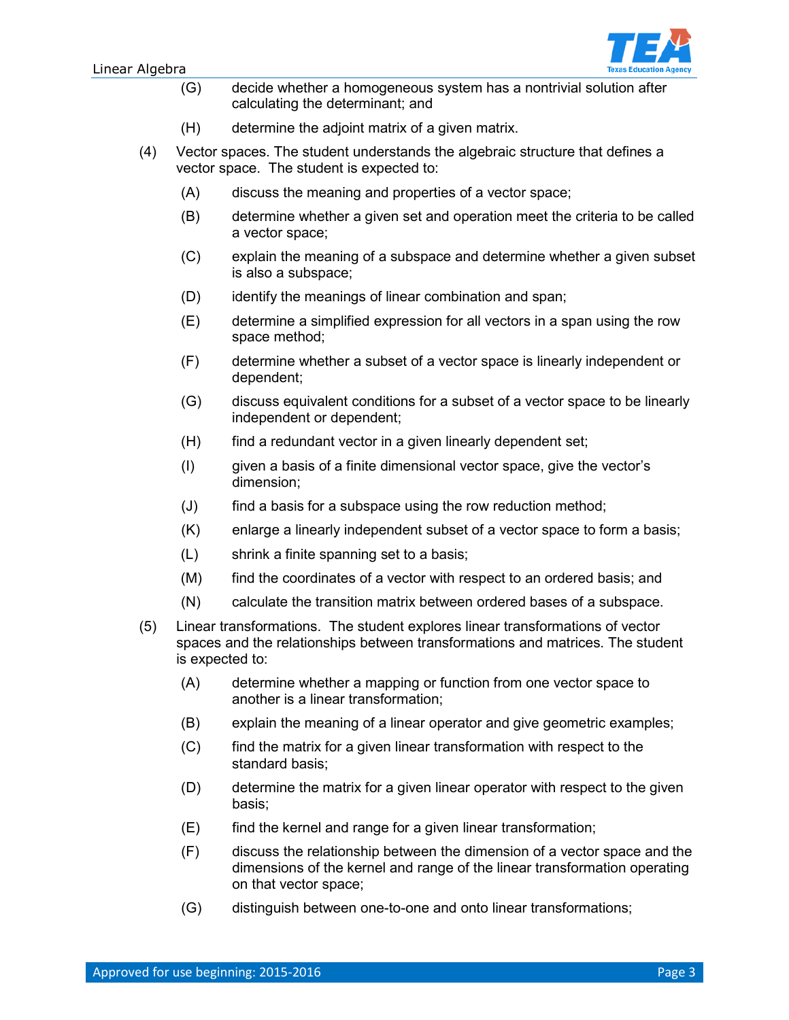

- (G) decide whether a homogeneous system has a nontrivial solution after calculating the determinant; and
- (H) determine the adjoint matrix of a given matrix.
- (4) Vector spaces. The student understands the algebraic structure that defines a vector space. The student is expected to:
	- (A) discuss the meaning and properties of a vector space;
	- (B) determine whether a given set and operation meet the criteria to be called a vector space;
	- (C) explain the meaning of a subspace and determine whether a given subset is also a subspace;
	- (D) identify the meanings of linear combination and span;
	- (E) determine a simplified expression for all vectors in a span using the row space method;
	- (F) determine whether a subset of a vector space is linearly independent or dependent;
	- (G) discuss equivalent conditions for a subset of a vector space to be linearly independent or dependent;
	- $(H)$  find a redundant vector in a given linearly dependent set;
	- (I) given a basis of a finite dimensional vector space, give the vector's dimension;
	- (J) find a basis for a subspace using the row reduction method;
	- (K) enlarge a linearly independent subset of a vector space to form a basis;
	- (L) shrink a finite spanning set to a basis;
	- (M) find the coordinates of a vector with respect to an ordered basis; and
	- (N) calculate the transition matrix between ordered bases of a subspace.
- (5) Linear transformations. The student explores linear transformations of vector spaces and the relationships between transformations and matrices. The student is expected to:
	- (A) determine whether a mapping or function from one vector space to another is a linear transformation;
	- (B) explain the meaning of a linear operator and give geometric examples;
	- (C) find the matrix for a given linear transformation with respect to the standard basis;
	- (D) determine the matrix for a given linear operator with respect to the given basis;
	- (E) find the kernel and range for a given linear transformation;
	- (F) discuss the relationship between the dimension of a vector space and the dimensions of the kernel and range of the linear transformation operating on that vector space;
	- (G) distinguish between one-to-one and onto linear transformations;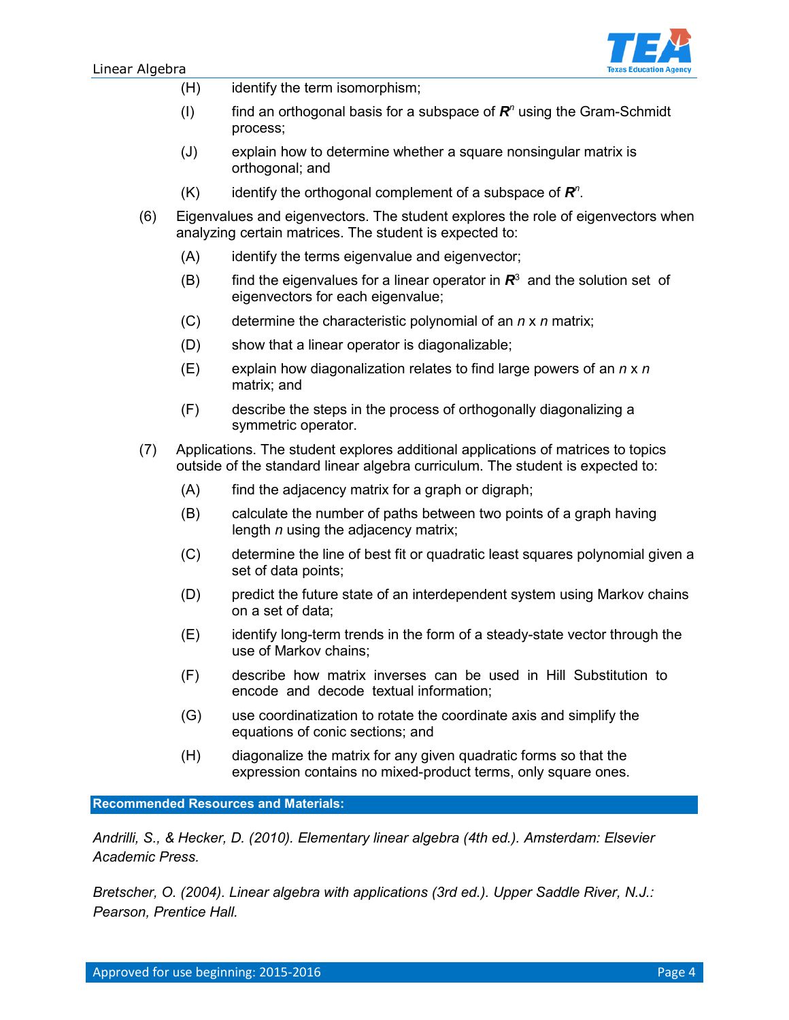

- (H) identify the term isomorphism;
- (I) find an orthogonal basis for a subspace of *R<sup>n</sup>* using the Gram-Schmidt process;
- (J) explain how to determine whether a square nonsingular matrix is orthogonal; and
- (K) identify the orthogonal complement of a subspace of *R<sup>n</sup>* .
- (6) Eigenvalues and eigenvectors. The student explores the role of eigenvectors when analyzing certain matrices. The student is expected to:
	- (A) identify the terms eigenvalue and eigenvector;
	- (B) find the eigenvalues for a linear operator in  $\mathbb{R}^3$  and the solution set of eigenvectors for each eigenvalue;
	- (C) determine the characteristic polynomial of an *n* x *n* matrix;
	- (D) show that a linear operator is diagonalizable;
	- (E) explain how diagonalization relates to find large powers of an *n* x *n* matrix; and
	- (F) describe the steps in the process of orthogonally diagonalizing a symmetric operator.
- (7) Applications. The student explores additional applications of matrices to topics outside of the standard linear algebra curriculum. The student is expected to:
	- $(A)$  find the adjacency matrix for a graph or digraph;
	- (B) calculate the number of paths between two points of a graph having length *n* using the adjacency matrix;
	- (C) determine the line of best fit or quadratic least squares polynomial given a set of data points;
	- (D) predict the future state of an interdependent system using Markov chains on a set of data;
	- (E) identify long-term trends in the form of a steady-state vector through the use of Markov chains;
	- (F) describe how matrix inverses can be used in Hill Substitution to encode and decode textual information;
	- (G) use coordinatization to rotate the coordinate axis and simplify the equations of conic sections; and
	- (H) diagonalize the matrix for any given quadratic forms so that the expression contains no mixed-product terms, only square ones.

**Recommended Resources and Materials:** 

*Andrilli, S., & Hecker, D. (2010). Elementary linear algebra (4th ed.). Amsterdam: Elsevier Academic Press.*

*Bretscher, O. (2004). Linear algebra with applications (3rd ed.). Upper Saddle River, N.J.: Pearson, Prentice Hall.*